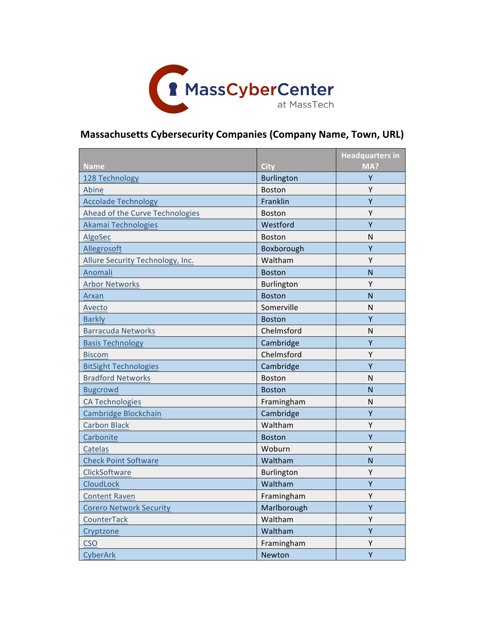

## **Massachusetts Cybersecurity Companies (Company Name, Town, URL)**

| <b>Name</b>                      | <b>City</b>       | <b>Headquarters in</b><br>MA? |
|----------------------------------|-------------------|-------------------------------|
| 128 Technology                   | <b>Burlington</b> | Y                             |
| Abine                            | <b>Boston</b>     | Y                             |
| <b>Accolade Technology</b>       | Franklin          | Ÿ                             |
| Ahead of the Curve Technologies  | <b>Boston</b>     | Υ                             |
| Akamai Technologies              | Westford          | Y                             |
| AlgoSec                          | Boston            | N                             |
| Allegrosoft                      | Boxborough        | Y                             |
| Allure Security Technology, Inc. | Waltham           | Υ                             |
| Anomali                          | <b>Boston</b>     | N                             |
| <b>Arbor Networks</b>            | Burlington        | Υ                             |
| Arxan                            | <b>Boston</b>     | N                             |
| Avecto                           | Somerville        | N                             |
| <b>Barkly</b>                    | <b>Boston</b>     | Υ                             |
| <b>Barracuda Networks</b>        | Chelmsford        | N                             |
| <b>Basis Technology</b>          | Cambridge         | Υ                             |
| <b>Biscom</b>                    | Chelmsford        | Y                             |
| <b>BitSight Technologies</b>     | Cambridge         | Ÿ                             |
| <b>Bradford Networks</b>         | <b>Boston</b>     | N                             |
| <b>Bugcrowd</b>                  | <b>Boston</b>     | N                             |
| <b>CA Technologies</b>           | Framingham        | Ν                             |
| Cambridge Blockchain             | Cambridge         | Y                             |
| <b>Carbon Black</b>              | Waltham           | Y                             |
| Carbonite                        | <b>Boston</b>     | Y                             |
| <b>Catelas</b>                   | Woburn            | Υ                             |
| <b>Check Point Software</b>      | Waltham           | N                             |
| ClickSoftware                    | Burlington        | Υ                             |
| CloudLock                        | Waltham           | Y                             |
| <b>Content Raven</b>             | Framingham        | Υ                             |
| <b>Corero Network Security</b>   | Marlborough       | Y                             |
| CounterTack                      | Waltham           | Υ                             |
| Cryptzone                        | Waltham           | Ÿ                             |
| <b>CSO</b>                       | Framingham        | Υ                             |
| CyberArk                         | Newton            | Y                             |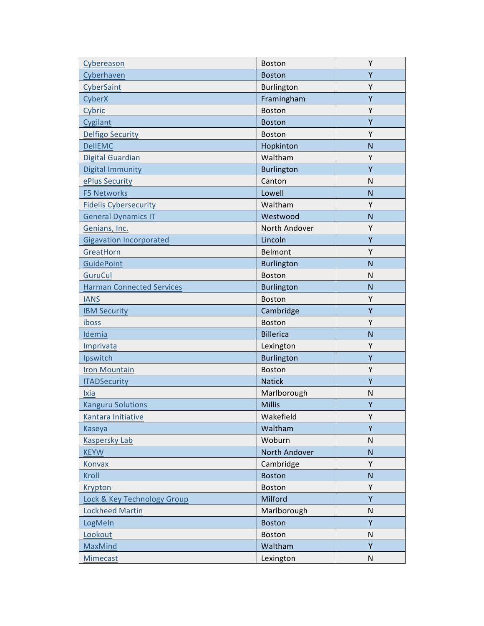| Cybereason                       | <b>Boston</b>     | Υ              |
|----------------------------------|-------------------|----------------|
| Cyberhaven                       | <b>Boston</b>     | Y              |
| CyberSaint                       | Burlington        | Υ              |
| CyberX                           | Framingham        | Y              |
| Cybric                           | <b>Boston</b>     | Υ              |
| Cygilant                         | <b>Boston</b>     | Y              |
| <b>Delfigo Security</b>          | <b>Boston</b>     | Υ              |
| <b>DellEMC</b>                   | Hopkinton         | $\mathsf{N}$   |
| <b>Digital Guardian</b>          | Waltham           | Y              |
| <b>Digital Immunity</b>          | Burlington        | Y              |
| ePlus Security                   | Canton            | $\mathsf{N}$   |
| <b>F5 Networks</b>               | Lowell            | $\overline{N}$ |
| <b>Fidelis Cybersecurity</b>     | Waltham           | Υ              |
| <b>General Dynamics IT</b>       | Westwood          | $\mathsf{N}$   |
| Genians, Inc.                    | North Andover     | Y              |
| <b>Gigavation Incorporated</b>   | Lincoln           | Y              |
| GreatHorn                        | Belmont           | Y              |
| <b>GuidePoint</b>                | Burlington        | $\mathsf{N}$   |
| <b>GuruCul</b>                   | Boston            | N              |
| <b>Harman Connected Services</b> | <b>Burlington</b> | $\overline{N}$ |
| <b>IANS</b>                      | Boston            | Y              |
| <b>IBM Security</b>              | Cambridge         | Y              |
| iboss                            | <b>Boston</b>     | Y              |
| Idemia                           | <b>Billerica</b>  | $\overline{N}$ |
| Imprivata                        | Lexington         | Υ              |
| Ipswitch                         | <b>Burlington</b> | Υ              |
| <b>Iron Mountain</b>             | <b>Boston</b>     | Υ              |
| <b>ITADSecurity</b>              | <b>Natick</b>     | Υ              |
| Ixia                             | Marlborough       | N              |
| <b>Kanguru Solutions</b>         | <b>Millis</b>     | Υ              |
| Kantara Initiative               | Wakefield         | Y              |
| Kaseya                           | Waltham           | Y              |
| <b>Kaspersky Lab</b>             | Woburn            | N              |
| <b>KEYW</b>                      | North Andover     | N              |
| <b>Konvax</b>                    | Cambridge         | Υ              |
| Kroll                            | <b>Boston</b>     | N              |
| Krypton                          | Boston            | Y              |
| Lock & Key Technology Group      | Milford           | Υ              |
| <b>Lockheed Martin</b>           | Marlborough       | $\mathsf{N}$   |
| LogMeIn                          | <b>Boston</b>     | Y              |
| Lookout                          | Boston            | ${\sf N}$      |
| MaxMind                          | Waltham           | Y              |
| Mimecast                         | Lexington         | $\mathsf{N}$   |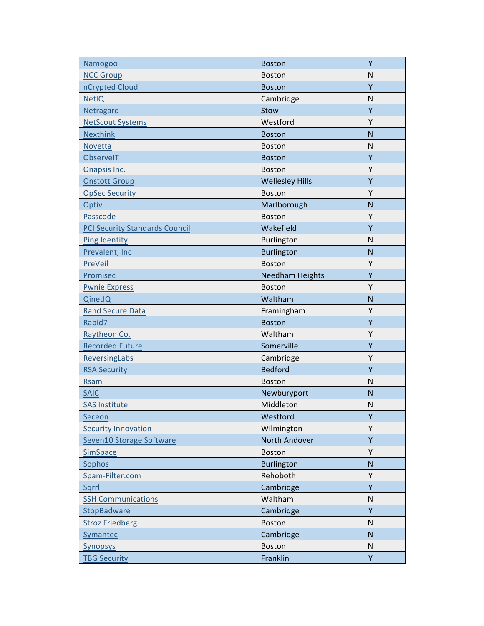| Namogoo                               | <b>Boston</b>          | Y              |
|---------------------------------------|------------------------|----------------|
| <b>NCC Group</b>                      | <b>Boston</b>          | N              |
| nCrypted Cloud                        | <b>Boston</b>          | Υ              |
| <b>NetIQ</b>                          | Cambridge              | N              |
| Netragard                             | Stow                   | Υ              |
| <b>NetScout Systems</b>               | Westford               | Y              |
| <b>Nexthink</b>                       | <b>Boston</b>          | $\mathsf{N}$   |
| Novetta                               | <b>Boston</b>          | N              |
| <b>ObservelT</b>                      | <b>Boston</b>          | Y              |
| Onapsis Inc.                          | <b>Boston</b>          | Y              |
| <b>Onstott Group</b>                  | <b>Wellesley Hills</b> | Y              |
| <b>OpSec Security</b>                 | <b>Boston</b>          | Y              |
| Optiv                                 | Marlborough            | N              |
| Passcode                              | Boston                 | Y              |
| <b>PCI Security Standards Council</b> | Wakefield              | Υ              |
| <b>Ping Identity</b>                  | Burlington             | $\mathsf{N}$   |
| Prevalent, Inc                        | <b>Burlington</b>      | $\mathsf{N}$   |
| PreVeil                               | <b>Boston</b>          | Υ              |
| Promisec                              | <b>Needham Heights</b> | Y              |
| <b>Pwnie Express</b>                  | <b>Boston</b>          | Υ              |
| QinetIQ                               | Waltham                | $\mathsf{N}$   |
| <b>Rand Secure Data</b>               | Framingham             | Υ              |
| Rapid7                                | <b>Boston</b>          | Υ              |
| Raytheon Co.                          | Waltham                | Υ              |
| <b>Recorded Future</b>                | Somerville             | Y              |
| <b>ReversingLabs</b>                  | Cambridge              | Y              |
| <b>RSA Security</b>                   | <b>Bedford</b>         | Y              |
| <b>Rsam</b>                           | <b>Boston</b>          | $\mathsf{N}$   |
| <b>SAIC</b>                           | Newburyport            | $\overline{N}$ |
| <b>SAS Institute</b>                  | Middleton              | N              |
| Seceon                                | Westford               | Υ              |
| <b>Security Innovation</b>            | Wilmington             | Υ              |
| Seven10 Storage Software              | North Andover          | Υ              |
| <b>SimSpace</b>                       | Boston                 | Υ              |
| Sophos                                | <b>Burlington</b>      | $\mathsf{N}$   |
| Spam-Filter.com                       | Rehoboth               | Υ              |
| Sqrrl                                 | Cambridge              | Υ              |
| <b>SSH Communications</b>             | Waltham                | N              |
| StopBadware                           | Cambridge              | Y              |
| <b>Stroz Friedberg</b>                | <b>Boston</b>          | N              |
| Symantec                              | Cambridge              | $\overline{N}$ |
| <b>Synopsys</b>                       | Boston                 | N              |
| <b>TBG Security</b>                   | Franklin               | Y              |